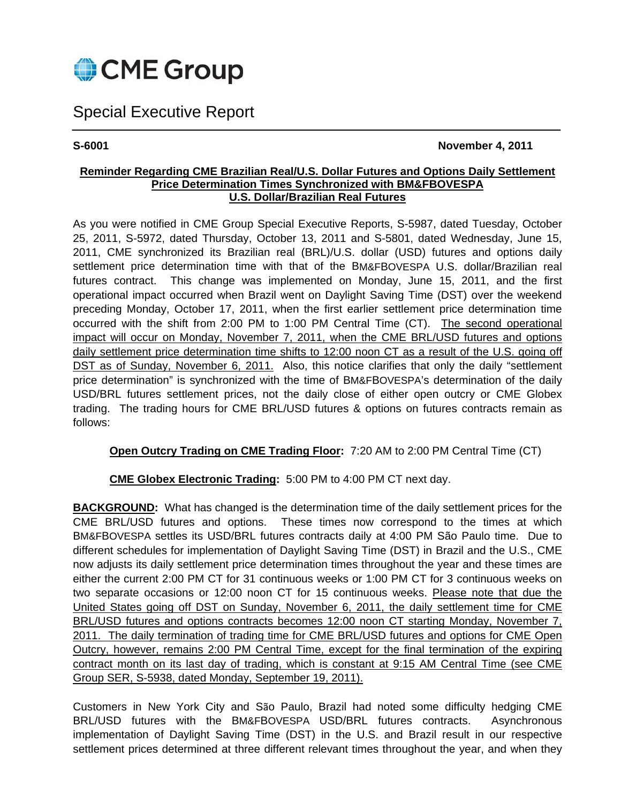

# Special Executive Report

**S-6001 November 4, 2011** 

### **Reminder Regarding CME Brazilian Real/U.S. Dollar Futures and Options Daily Settlement Price Determination Times Synchronized with BM&FBOVESPA U.S. Dollar/Brazilian Real Futures**

As you were notified in CME Group Special Executive Reports, S-5987, dated Tuesday, October 25, 2011, S-5972, dated Thursday, October 13, 2011 and S-5801, dated Wednesday, June 15, 2011, CME synchronized its Brazilian real (BRL)/U.S. dollar (USD) futures and options daily settlement price determination time with that of the BM&FBOVESPA U.S. dollar/Brazilian real futures contract. This change was implemented on Monday, June 15, 2011, and the first operational impact occurred when Brazil went on Daylight Saving Time (DST) over the weekend preceding Monday, October 17, 2011, when the first earlier settlement price determination time occurred with the shift from 2:00 PM to 1:00 PM Central Time (CT). The second operational impact will occur on Monday, November 7, 2011, when the CME BRL/USD futures and options daily settlement price determination time shifts to 12:00 noon CT as a result of the U.S. going off DST as of Sunday, November 6, 2011. Also, this notice clarifies that only the daily "settlement price determination" is synchronized with the time of BM&FBOVESPA's determination of the daily USD/BRL futures settlement prices, not the daily close of either open outcry or CME Globex trading. The trading hours for CME BRL/USD futures & options on futures contracts remain as follows:

## **Open Outcry Trading on CME Trading Floor:** 7:20 AM to 2:00 PM Central Time (CT)

**CME Globex Electronic Trading:** 5:00 PM to 4:00 PM CT next day.

**BACKGROUND:** What has changed is the determination time of the daily settlement prices for the CME BRL/USD futures and options. These times now correspond to the times at which BM&FBOVESPA settles its USD/BRL futures contracts daily at 4:00 PM São Paulo time. Due to different schedules for implementation of Daylight Saving Time (DST) in Brazil and the U.S., CME now adjusts its daily settlement price determination times throughout the year and these times are either the current 2:00 PM CT for 31 continuous weeks or 1:00 PM CT for 3 continuous weeks on two separate occasions or 12:00 noon CT for 15 continuous weeks. Please note that due the United States going off DST on Sunday, November 6, 2011, the daily settlement time for CME BRL/USD futures and options contracts becomes 12:00 noon CT starting Monday, November 7, 2011. The daily termination of trading time for CME BRL/USD futures and options for CME Open Outcry, however, remains 2:00 PM Central Time, except for the final termination of the expiring contract month on its last day of trading, which is constant at 9:15 AM Central Time (see CME Group SER, S-5938, dated Monday, September 19, 2011).

Customers in New York City and São Paulo, Brazil had noted some difficulty hedging CME BRL/USD futures with the BM&FBOVESPA USD/BRL futures contracts. Asynchronous implementation of Daylight Saving Time (DST) in the U.S. and Brazil result in our respective settlement prices determined at three different relevant times throughout the year, and when they